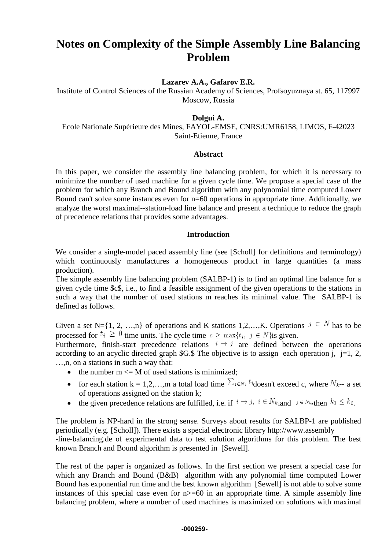# **Notes on Complexity of the Simple Assembly Line Balancing Problem**

**Lazarev A.A., Gafarov E.R.**

Institute of Control Sciences of the Russian Academy of Sciences, Profsoyuznaya st. 65, 117997 Moscow, Russia

## **Dolgui A.**

Ecole Nationale Supérieure des Mines, FAYOL-EMSE, CNRS:UMR6158, LIMOS, F-42023 Saint-Etienne, France

### **Abstract**

In this paper, we consider the assembly line balancing problem, for which it is necessary to minimize the number of used machine for a given cycle time. We propose a special case of the problem for which any Branch and Bound algorithm with any polynomial time computed Lower Bound can't solve some instances even for n=60 operations in appropriate time. Additionally, we analyze the worst maximal--station-load line balance and present a technique to reduce the graph of precedence relations that provides some advantages.

# **Introduction**

We consider a single-model paced assembly line (see [Scholl] for definitions and terminology) which continuously manufactures a homogeneous product in large quantities (a mass production).

The simple assembly line balancing problem (SALBP-1) is to find an optimal line balance for a given cycle time \$c\$, i.e., to find a feasible assignment of the given operations to the stations in such a way that the number of used stations m reaches its minimal value. The SALBP-1 is defined as follows.

Given a set N={1, 2, …,n} of operations and K stations 1,2,…,K. Operations  $j \in N$  has to be processed for  $t_j \ge 0$  time units. The cycle time  $c \ge \max\{t_j, j \in N\}$  given.

Furthermore, finish-start precedence relations  $i \rightarrow j$  are defined between the operations according to an acyclic directed graph  $G.S$ . The objective is to assign each operation i, i=1, 2, …,n, on a stations in such a way that:

- the number  $m \leq M$  of used stations is minimized;
- for each station k = 1,2,...,m a total load time  $\sum_{j \in N_k} t_j$  doesn't exceed c, where  $N_{k-1}$  a set of operations assigned on the station k;
- the given precedence relations are fulfilled, i.e. if  $i \to j$ ,  $i \in N_{k_1}$  and  $j \in N_{k_2}$  then  $k_1 \leq k_2$ .

The problem is NP-hard in the strong sense. Surveys about results for SALBP-1 are published periodically (e.g. [Scholl]). There exists a special electronic library http://www.assembly -line-balancing.de of experimental data to test solution algorithms for this problem. The best known Branch and Bound algorithm is presented in [Sewell].

The rest of the paper is organized as follows. In the first section we present a special case for which any Branch and Bound (B&B) algorithm with any polynomial time computed Lower Bound has exponential run time and the best known algorithm [Sewell] is not able to solve some instances of this special case even for  $n \geq 60$  in an appropriate time. A simple assembly line balancing problem, where a number of used machines is maximized on solutions with maximal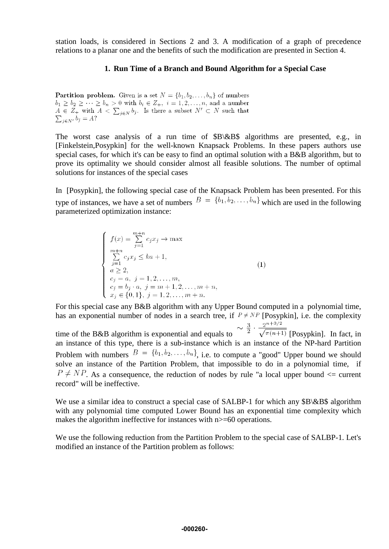station loads, is considered in Sections 2 and 3. A modification of a graph of precedence relations to a planar one and the benefits of such the modification are presented in Section 4.

## **1. Run Time of a Branch and Bound Algorithm for a Special Case**

**Partition problem.** Given is a set  $N = \{b_1, b_2, \ldots, b_n\}$  of numbers  $b_1 \geq b_2 \geq \cdots \geq b_n > 0$  with  $b_i \in \mathbb{Z}_+, i = 1, 2, \ldots, n$ , and a number  $A \in Z_+$  with  $A \leq \sum_{i \in N} b_i$ . Is there a subset  $N' \subset N$  such that  $\sum_{i \in N'} b_i = A?$ 

The worst case analysis of a run time of \$B\&B\$ algorithms are presented, e.g., in [Finkelstein,Posypkin] for the well-known Knapsack Problems. In these papers authors use special cases, for which it's can be easy to find an optimal solution with a B&B algorithm, but to prove its optimality we should consider almost all feasible solutions. The number of optimal solutions for instances of the special cases

In [Posypkin], the following special case of the Knapsack Problem has been presented. For this type of instances, we have a set of numbers  $B = \{b_1, b_2, \ldots, b_n\}$  which are used in the following parameterized optimization instance:

$$
\begin{cases}\nf(x) = \sum_{j=1}^{m+n} c_j x_j \to \max \\
\sum_{j=1}^{m+n} c_j x_j \le k a + 1, \\
a \ge 2, \\
c_j = a, \ j = 1, 2, \dots, m, \\
c_j = b_j \cdot a, \ j = m + 1, 2, \dots, m + n, \\
x_j \in \{0, 1\}, \ j = 1, 2, \dots, m + n.\n\end{cases}
$$
\n(1)

For this special case any B&B algorithm with any Upper Bound computed in a polynomial time, has an exponential number of nodes in a search tree, if  $P \neq NP$  [Posypkin], i.e. the complexity

time of the B&B algorithm is exponential and equals to  $\frac{3}{2} \cdot \frac{2^{n+3/2}}{\sqrt{\pi (n+1)}}$  [Posypkin]. In fact, in an instance of this type, there is a sub-instance which is an instance of the NP-hard Partition Problem with numbers  $B = \{b_1, b_2, \ldots, b_n\}$ , i.e. to compute a "good" Upper bound we should solve an instance of the Partition Problem, that impossible to do in a polynomial time, if  $P \neq NP$ . As a consequence, the reduction of nodes by rule "a local upper bound  $\leq$  current record" will be ineffective.

We use a similar idea to construct a special case of SALBP-1 for which any \$B\&B\$ algorithm with any polynomial time computed Lower Bound has an exponential time complexity which makes the algorithm ineffective for instances with n>=60 operations.

We use the following reduction from the Partition Problem to the special case of SALBP-1. Let's modified an instance of the Partition problem as follows: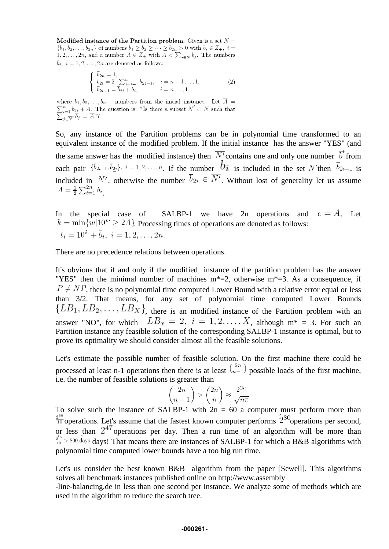Modified instance of the Partition problem. Given is a set  $\overline{N}$  =  $\{\overline{b}_1, \overline{b}_2, \ldots, \overline{b}_{2n}\}\$  of numbers  $\overline{b}_1 \ge \overline{b}_2 \ge \cdots \ge \overline{b}_{2n} > 0$  with  $\overline{b}_i \in Z_+, i = 1, 2, \ldots, 2n$ , and a number  $\overline{A} \in Z_+$  with  $\overline{A} \le \sum_{j \in \overline{N}} \overline{b}_j$ . The numbers  $\overline{b}_i$ ,  $i = 1, 2, ..., 2n$  are denoted as follows:

$$
\begin{cases}\n\overline{b}_{2n} = 1, \\
\overline{b}_{2i} = 2 \cdot \sum_{j=i+1}^{n} \overline{b}_{2j-1}, \quad i = n-1 \dots, 1, \\
\overline{b}_{2i-1} = \overline{b}_{2i} + b_i, \quad i = n \dots, 1,\n\end{cases}
$$
\n(2)

where  $b_1, b_2, \ldots, b_n$  – numbers from the initial instance. Let  $\overline{A}$  = where  $\overline{v}_1, \overline{v}_2, \ldots, \overline{v}_n$  humbers from the linear fiscance. Let  $\overline{A} = \sum_{i=1}^n \overline{b}_{2i} + A$ . The question is: "Is there a subset  $\overline{N}' \subset \overline{N}$  such that  $\sum_{j \in \overline{N}'} \overline{b}_j = \overline{A}^*?$ 

So, any instance of the Partition problems can be in polynomial time transformed to an equivalent instance of the modified problem. If the initial instance has the answer "YES" (and the same answer has the modified instance) then  $\overline{N'}$  contains one and only one number  $\overline{b}^i$  from each pair  $\{\bar{b}_{2i-1}, \bar{b}_{2i}\}$ ,  $i = 1, 2, \ldots, n$ . If the number  $b_i$  is included in the set N'then  $\bar{b}_{2i-1}$  is included in  $\overline{N'}$ , otherwise the number  $\overline{b}_{2i} \in \overline{N'}$ . Without lost of generality let us assume  $\overline{A} = \frac{1}{2} \sum_{i=1}^{2n} \overline{b}_i.$ 

In the special case of SALBP-1 we have 2n operations and  $c = \overline{A}$ . Let  $k = \min\{w|10^w \ge 2A\}$ . Processing times of operations are denoted as follows:  $t_i = 10^k + \overline{b}_i, i = 1, 2, \ldots, 2n.$ 

There are no precedence relations between operations.

It's obvious that if and only if the modified instance of the partition problem has the answer "YES" then the minimal number of machines  $m^*=2$ , otherwise  $m^*=3$ . As a consequence, if  $P \neq NP$ , there is no polynomial time computed Lower Bound with a relative error equal or less than 3/2. That means, for any set of polynomial time computed Lower Bounds  ${LB_1, LB_2, \ldots, LB_X}$ , there is an modified instance of the Partition problem with an answer "NO", for which  $LB_x = 2$ ,  $i = 1, 2, ..., X$ , although  $m^* = 3$ . For such an Partition instance any feasible solution of the corresponding SALBP-1 instance is optimal, but to prove its optimality we should consider almost all the feasible solutions.

Let's estimate the possible number of feasible solution. On the first machine there could be processed at least n-1 operations then there is at least  $\binom{2n}{n-1}$  possible loads of the first machine, i.e. the number of feasible solutions is greater than

$$
\binom{2n}{n-1} > \binom{2n}{n} \approx \frac{2^{2n}}{\sqrt{n\pi}}
$$

To solve such the instance of SALBP-1 with  $2n = 60$  a computer must perform more than  $\frac{2^{60}}{10}$  operations. Let's assume that the fastest known computer performs  $2^{30}$  operations per second, or less than  $2^{47}$  operations per day. Then a run time of an algorithm will be more than  $\frac{2^{13}}{10}$  > 800 days days! That means there are instances of SALBP-1 for which a B&B algorithms with polynomial time computed lower bounds have a too big run time.

Let's us consider the best known B&B algorithm from the paper [Sewell]. This algorithms solves all benchmark instances published online on http://www.assembly

-line-balancing.de in less than one second per instance. We analyze some of methods which are used in the algorithm to reduce the search tree.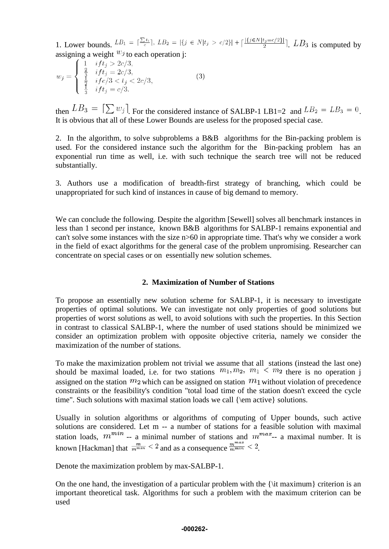1. Lower bounds.  $LB_1 = \lceil \frac{\sum t_i}{c} \rceil$ ,  $LB_2 = |\{j \in N | t_j > c/2\}| + \lceil \frac{| \{j \in N | t_j = c/2\}|}{2} \rceil$ .  $LB_3$  is computed by assigning a weight  $w_j$  to each operation j:

$$
w_j = \begin{cases} 1 & if t_j > 2c/3, \\ \frac{2}{3} & if t_j = 2c/3, \\ \frac{1}{2} & if c/3 < t_j < 2c/3, \\ \frac{1}{3} & if t_j = c/3. \end{cases}
$$
(3)

then  $LB_3 = [\sum w_j]$  For the considered instance of SALBP-1 LB1=2 and  $LB_2 = LB_3 = 0$ . It is obvious that all of these Lower Bounds are useless for the proposed special case.

2. In the algorithm, to solve subproblems a B&B algorithms for the Bin-packing problem is used. For the considered instance such the algorithm for the Bin-packing problem has an exponential run time as well, i.e. with such technique the search tree will not be reduced substantially.

3. Authors use a modification of breadth-first strategy of branching, which could be unappropriated for such kind of instances in cause of big demand to memory.

We can conclude the following. Despite the algorithm [Sewell] solves all benchmark instances in less than 1 second per instance, known B&B algorithms for SALBP-1 remains exponential and can't solve some instances with the size n>60 in appropriate time. That's why we consider a work in the field of exact algorithms for the general case of the problem unpromising. Researcher can concentrate on special cases or on essentially new solution schemes.

## **2. Maximization of Number of Stations**

To propose an essentially new solution scheme for SALBP-1, it is necessary to investigate properties of optimal solutions. We can investigate not only properties of good solutions but properties of worst solutions as well, to avoid solutions with such the properties. In this Section in contrast to classical SALBP-1, where the number of used stations should be minimized we consider an optimization problem with opposite objective criteria, namely we consider the maximization of the number of stations.

To make the maximization problem not trivial we assume that all stations (instead the last one) should be maximal loaded, i.e. for two stations  $m_1, m_2, m_1 < m_2$  there is no operation j assigned on the station  $m_2$  which can be assigned on station  $m_1$  without violation of precedence constraints or the feasibility's condition "total load time of the station doesn't exceed the cycle time". Such solutions with maximal station loads we call {\em active} solutions.

Usually in solution algorithms or algorithms of computing of Upper bounds, such active solutions are considered. Let m -- a number of stations for a feasible solution with maximal station loads,  $m^{min}$  -- a minimal number of stations and  $m^{max}$ -- a maximal number. It is known [Hackman] that  $\frac{m}{m^{min}} < 2$  and as a consequence  $\frac{m^{max}}{m^{min}} < 2$ .

Denote the maximization problem by max-SALBP-1.

On the one hand, the investigation of a particular problem with the {\it maximum} criterion is an important theoretical task. Algorithms for such a problem with the maximum criterion can be used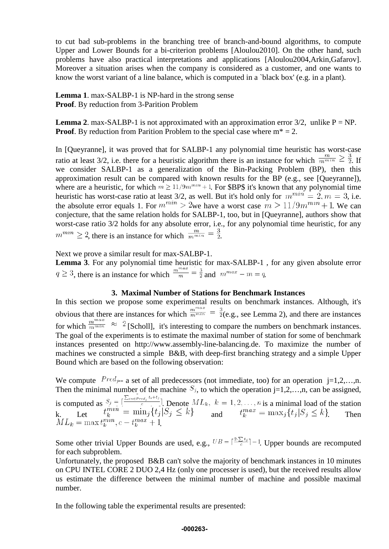to cut bad sub-problems in the branching tree of branch-and-bound algorithms, to compute Upper and Lower Bounds for a bi-criterion problems [Aloulou2010]. On the other hand, such problems have also practical interpretations and applications [Aloulou2004,Arkin,Gafarov]. Moreover a situation arises when the company is considered as a customer, and one wants to know the worst variant of a line balance, which is computed in a `black box' (e.g. in a plant).

**Lemma 1**. max-SALBP-1 is NP-hard in the strong sense **Proof**. By reduction from 3-Parition Problem

**Lemma 2.** max-SALBP-1 is not approximated with an approximation error  $3/2$ , unlike P = NP. **Proof.** By reduction from Parition Problem to the special case where  $m^* = 2$ .

In [Queyranne], it was proved that for SALBP-1 any polynomial time heuristic has worst-case ratio at least 3/2, i.e. there for a heuristic algorithm there is an instance for which  $\frac{m}{m^{min}} \ge \frac{3}{2}$ . If we consider SALBP-1 as a generalization of the Bin-Packing Problem (BP), then this approximation result can be compared with known results for the BP (e.g., see [Queyranne]), where are a heuristic, for which  $m \geq 11/9m^{mn} + 1$ . For \$BP\$ it's known that any polynomial time heuristic has worst-case ratio at least 3/2, as well. But it's hold only for  $m^{min} = 2, m = 3$ , i.e. the absolute error equals 1. For  $m^{min} > 2$  we have a worst case  $m > 11/9m^{min} + 1$ . We can conjecture, that the same relation holds for SALBP-1, too, but in [Queyranne], authors show that worst-case ratio 3/2 holds for any absolute error, i.e., for any polynomial time heuristic, for any  $m^{mn} \geq 2$ , there is an instance for which  $\frac{m}{m^{min}} = \frac{3}{2}$ .

Next we prove a similar result for max-SALBP-1.

**Lemma 3**. For any polynomial time heuristic for max-SALBP-1 , for any given absolute error  $q \geq 3$ , there is an instance for which  $\frac{m^{max}}{m} = \frac{3}{2}$  and  $m^{max} - m = q$ .

#### **3. Maximal Number of Stations for Benchmark Instances**

In this section we propose some experimental results on benchmark instances. Although, it's obvious that there are instances for which  $\frac{m^{max}}{m^{min}} = \frac{3}{2}$  (e.g., see Lemma 2), and there are instances for which  $\frac{m^{max}}{m^{min}} \approx 2$  [Scholl], it's interesting to compare the numbers on benchmark instances. The goal of the experiments is to estimate the maximal number of station for some of benchmark instances presented on http://www.assembly-line-balancing.de. To maximize the number of machines we constructed a simple B&B, with deep-first branching strategy and a simple Upper Bound which are based on the following observation:

We compute  $Pred_{j-1}$  a set of all predecessors (not immediate, too) for an operation  $j=1,2,...,n$ . Then the minimal number of the machine  $S_j$ , to which the operation j=1,2,…,n, can be assigned,

is computed as  $S_j = \frac{1}{\epsilon}$ . Denote  $ML_k$ ,  $k = 1, 2, ..., n$  is a minimal load of the station k. Let  $\iota_k^{\mathcal{L}} = \min_j \{ \iota_j | \lambda_j \leq \kappa \}$  and  $\iota_k^{\mathcal{L}} = \max_j \{ \iota_j | \lambda_j \leq \kappa \}$ . Then .

Some other trivial Upper Bounds are used, e.g.,  $UB = \lceil \frac{2 \cdot \sum t_j}{c} \rceil - 1$ . Upper bounds are recomputed for each subproblem.

Unfortunately, the proposed B&B can't solve the majority of benchmark instances in 10 minutes on CPU INTEL CORE 2 DUO 2,4 Hz (only one processer is used), but the received results allow us estimate the difference between the minimal number of machine and possible maximal number.

In the following table the experimental results are presented:

#### **-000263-**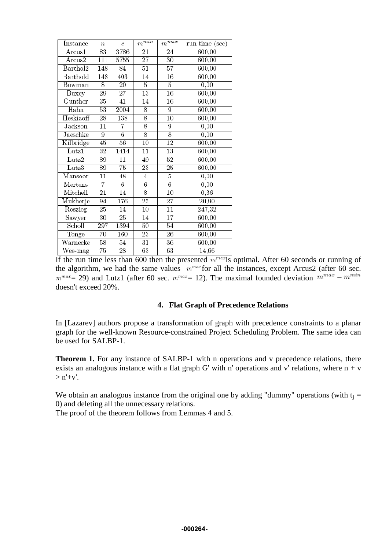| Instance                     | $\boldsymbol{n}$ | $\overline{c}$  | $m^{\overline{min}}$ | $m^{\overline{max}}$ | run time (sec) |
|------------------------------|------------------|-----------------|----------------------|----------------------|----------------|
| $\rm Arcus1$                 | 83               | 3786            | 21                   | 24                   | 600,00         |
| Arcus2                       | $\overline{111}$ | 5755            | $\overline{27}$      | 30                   | 600,00         |
| $\overline{\text{Barthol2}}$ | 148              | 84              | 51                   | 57                   | 600,00         |
| Barthold                     | 148              | 403             | 14                   | 16                   | 600,00         |
| $\overline{\mathrm{Bowman}}$ | 8                | $\overline{20}$ | 5                    | 5                    | 0,00           |
| Buxey                        | 29               | $\overline{27}$ | 13                   | 16                   | 600,00         |
| Gunther                      | 35               | 41              | 14                   | 16                   | 600,00         |
| Hahn                         | 53               | 2004            | 8                    | 9                    | 600,00         |
| Heskiaoff                    | 28               | 138             | 8                    | 10                   | 600,00         |
| Jackson                      | $\overline{11}$  | 7               | 8                    | 9                    | 0,00           |
| Jaeschke                     | 9                | 6               | 8                    | 8                    | 0,00           |
| Kilbridge                    | 45               | 56              | $\overline{10}$      | 12                   | 600,00         |
| $_{\text{Lutz1}}$            | 32               | 1414            | $\overline{11}$      | 13                   | 600,00         |
| Lutz2                        | 89               | 11              | 49                   | 52                   | 600,00         |
| $_{\rm Lutz3}$               | 89               | 75              | 23                   | 25                   | 600,00         |
| Mansoor                      | 11               | 48              | 4                    | 5                    | 0,00           |
| Mertens                      | 7                | 6               | 6                    | $\overline{6}$       | 0,00           |
| Mitchell                     | 21               | $\overline{14}$ | 8                    | 10                   | 0,36           |
| Mukherje                     | 94               | 176             | 25                   | $\overline{27}$      | 20,90          |
| Roszieg                      | 25               | 14              | 10                   | $\overline{11}$      | 247,32         |
| Sawyer                       | 30               | 25              | 14                   | $\overline{17}$      | 600,00         |
| Scholl                       | 297              | 1394            | $\overline{50}$      | $\overline{54}$      | 600,00         |
| Tonge                        | 70               | 160             | 23                   | 26                   | 600,00         |
| Warnecke                     | 58               | 54              | $\overline{31}$      | 36                   | 600,00         |
| $\overline{\text{We}}$ e-mag | $\overline{75}$  | 28              | 63                   | 63                   | 14,66          |

If the run time less than 600 then the presented  $m^{max}$  is optimal. After 60 seconds or running of the algorithm, we had the same values  $m^{max}$  for all the instances, except Arcus2 (after 60 sec.  $m^{max}$  29) and Lutz1 (after 60 sec.  $m^{max}$  = 12). The maximal founded deviation  $m^{max}$  –  $m^{min}$ doesn't exceed 20%.

## **4. Flat Graph of Precedence Relations**

In [Lazarev] authors propose a transformation of graph with precedence constraints to a planar graph for the well-known Resource-constrained Project Scheduling Problem. The same idea can be used for SALBP-1.

**Theorem 1.** For any instance of SALBP-1 with n operations and v precedence relations, there exists an analogous instance with a flat graph G' with n' operations and v' relations, where  $n + v$  $>$  n'+v'.

We obtain an analogous instance from the original one by adding "dummy" operations (with  $t_i =$ 0) and deleting all the unnecessary relations.

The proof of the theorem follows from Lemmas 4 and 5.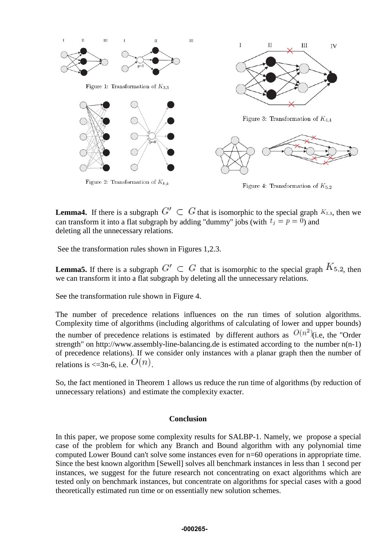

Figure 4: Transformation of  $K_{5,2}$ 

**Lemma4.** If there is a subgraph  $G' \subset G$  that is isomorphic to the special graph  $K_{3,3}$ , then we can transform it into a flat subgraph by adding "dummy" jobs (with  $t_i = p = 0$ ) and deleting all the unnecessary relations.

See the transformation rules shown in Figures 1,2.3.

**Lemma5.** If there is a subgraph  $G' \subset G$  that is isomorphic to the special graph  $K_{5,2}$ , then we can transform it into a flat subgraph by deleting all the unnecessary relations.

See the transformation rule shown in Figure 4.

The number of precedence relations influences on the run times of solution algorithms. Complexity time of algorithms (including algorithms of calculating of lower and upper bounds) the number of precedence relations is estimated by different authors as  $O(n^2)$  (i.e, the "Order strength" on http://www.assembly-line-balancing.de is estimated according to the number n(n-1) of precedence relations). If we consider only instances with a planar graph then the number of relations is  $\leq$ =3n-6, i.e.  $O(n)$ .

So, the fact mentioned in Theorem 1 allows us reduce the run time of algorithms (by reduction of unnecessary relations) and estimate the complexity exacter.

## **Conclusion**

In this paper, we propose some complexity results for SALBP-1. Namely, we propose a special case of the problem for which any Branch and Bound algorithm with any polynomial time computed Lower Bound can't solve some instances even for n=60 operations in appropriate time. Since the best known algorithm [Sewell] solves all benchmark instances in less than 1 second per instances, we suggest for the future research not concentrating on exact algorithms which are tested only on benchmark instances, but concentrate on algorithms for special cases with a good theoretically estimated run time or on essentially new solution schemes.